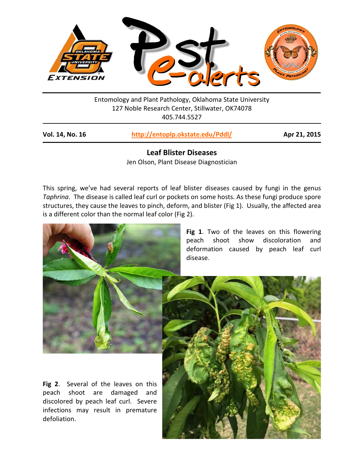

Entomology and Plant Pathology, Oklahoma State University 127 Noble Research Center, Stillwater, OK74078 405.744.5527

| Vol. 14, No. 16 | http://entoplp.okstate.edu/Pddl/ |
|-----------------|----------------------------------|
|-----------------|----------------------------------|

**Vol. 14, No. 16 <http://entoplp.okstate.edu/Pddl/> Apr 21, 2015**

**Leaf Blister Diseases** Jen Olson, Plant Disease Diagnostician

This spring, we've had several reports of leaf blister diseases caused by fungi in the genus *Taphrina*. The disease is called leaf curl or pockets on some hosts. As these fungi produce spore structures, they cause the leaves to pinch, deform, and blister (Fig 1). Usually, the affected area is a different color than the normal leaf color (Fig 2).



**Fig 1**. Two of the leaves on this flowering peach shoot show discoloration and deformation caused by peach leaf curl disease.

**Fig 2**. Several of the leaves on this peach shoot are damaged and discolored by peach leaf curl. Severe infections may result in premature defoliation.

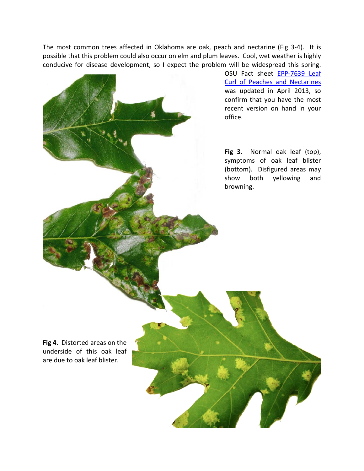The most common trees affected in Oklahoma are oak, peach and nectarine (Fig 3-4). It is possible that this problem could also occur on elm and plum leaves. Cool, wet weather is highly conducive for disease development, so I expect the problem will be widespread this spring.

> OSU Fact sheet [EPP-7639 Leaf](http://pods.dasnr.okstate.edu/docushare/dsweb/Get/Document-2316/EPP-7639web.pdf)  [Curl of Peaches and Nectarines](http://pods.dasnr.okstate.edu/docushare/dsweb/Get/Document-2316/EPP-7639web.pdf) was updated in April 2013, so confirm that you have the most recent version on hand in your office.

> **Fig 3**. Normal oak leaf (top), symptoms of oak leaf blister (bottom). Disfigured areas may show both yellowing and browning.

**Fig 4**. Distorted areas on the underside of this oak leaf are due to oak leaf blister.